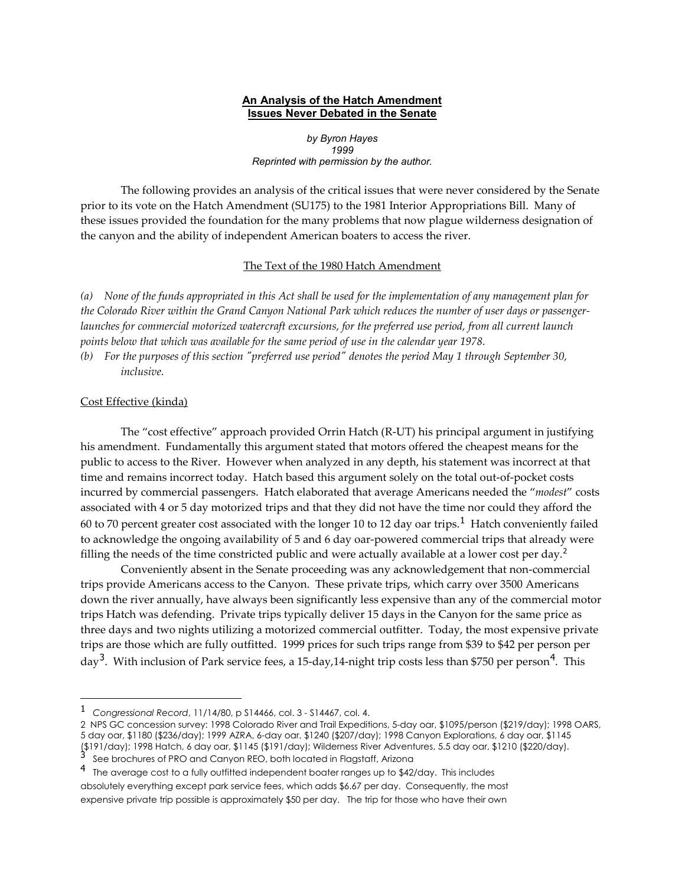## **An Analysis of the Hatch Amendment Issues Never Debated in the Senate**

*by Byron Hayes 1999 Reprinted with permission by the author.*

The following provides an analysis of the critical issues that were never considered by the Senate prior to its vote on the Hatch Amendment (SU175) to the 1981 Interior Appropriations Bill. Many of these issues provided the foundation for the many problems that now plague wilderness designation of the canyon and the ability of independent American boaters to access the river.

#### The Text of the 1980 Hatch Amendment

*(a) None of the funds appropriated in this Act shall be used for the implementation of any management plan for the Colorado River within the Grand Canyon National Park which reduces the number of user days or passengerlaunches for commercial motorized watercraft excursions, for the preferred use period, from all current launch points below that which was available for the same period of use in the calendar year 1978.* 

*(b) For the purposes of this section "preferred use period" denotes the period May 1 through September 30, inclusive.*

### Cost Effective (kinda)

Į

The "cost effective" approach provided Orrin Hatch (R-UT) his principal argument in justifying his amendment. Fundamentally this argument stated that motors offered the cheapest means for the public to access to the River. However when analyzed in any depth, his statement was incorrect at that time and remains incorrect today. Hatch based this argument solely on the total out-of-pocket costs incurred by commercial passengers. Hatch elaborated that average Americans needed the "*modest*" costs associated with 4 or 5 day motorized trips and that they did not have the time nor could they afford the 60 to 70 percent greater cost associated with the longer [1](#page-0-0)0 to 12 day oar trips.<sup>1</sup> Hatch conveniently failed to acknowledge the ongoing availability of 5 and 6 day oar-powered commercial trips that already were filling the needs of the time constricted public and were actually available at a lower cost per day.<sup>[2](#page-0-1)</sup>

Conveniently absent in the Senate proceeding was any acknowledgement that non-commercial trips provide Americans access to the Canyon. These private trips, which carry over 3500 Americans down the river annually, have always been significantly less expensive than any of the commercial motor trips Hatch was defending. Private trips typically deliver 15 days in the Canyon for the same price as three days and two nights utilizing a motorized commercial outfitter. Today, the most expensive private trips are those which are fully outfitted. 1999 prices for such trips range from \$39 to \$42 per person per day<sup>[3](#page-0-2)</sup>. With inclusion of Park service fees, a 15-day, 1[4](#page-0-3)-night trip costs less than \$750 per person<sup>4</sup>. This

<span id="page-0-0"></span><sup>1</sup> *Congressional Record*, 11/14/80, p S14466, col. 3 - S14467, col. 4.

<span id="page-0-1"></span><sup>2</sup> NPS GC concession survey: 1998 Colorado River and Trail Expeditions, 5-day oar, \$1095/person (\$219/day); 1998 OARS, 5 day oar, \$1180 (\$236/day); 1999 AZRA, 6-day oar, \$1240 (\$207/day); 1998 Canyon Explorations, 6 day oar, \$1145 (\$191/day); 1998 Hatch, 6 day oar, \$1145 (\$191/day); Wilderness River Adventures, 5.5 day oar, \$1210 (\$220/day). <sup>3</sup> See brochures of PRO and Canyon REO, both located in Flagstaff, Arizona

<span id="page-0-2"></span>

<span id="page-0-3"></span><sup>4</sup> The average cost to a fully outfitted independent boater ranges up to \$42/day. This includes absolutely everything except park service fees, which adds \$6.67 per day. Consequently, the most expensive private trip possible is approximately \$50 per day. The trip for those who have their own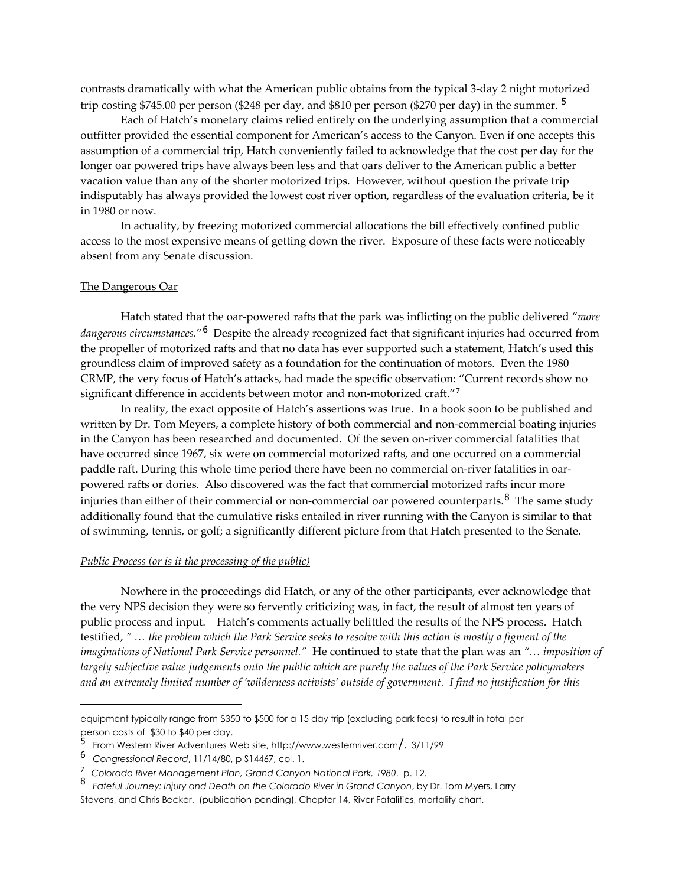contrasts dramatically with what the American public obtains from the typical 3-day 2 night motorized trip costing \$74[5](#page-1-0).00 per person (\$248 per day, and \$810 per person (\$270 per day) in the summer.<sup>5</sup>

Each of Hatch's monetary claims relied entirely on the underlying assumption that a commercial outfitter provided the essential component for American's access to the Canyon. Even if one accepts this assumption of a commercial trip, Hatch conveniently failed to acknowledge that the cost per day for the longer oar powered trips have always been less and that oars deliver to the American public a better vacation value than any of the shorter motorized trips. However, without question the private trip indisputably has always provided the lowest cost river option, regardless of the evaluation criteria, be it in 1980 or now.

In actuality, by freezing motorized commercial allocations the bill effectively confined public access to the most expensive means of getting down the river. Exposure of these facts were noticeably absent from any Senate discussion.

#### The Dangerous Oar

Hatch stated that the oar-powered rafts that the park was inflicting on the public delivered "*more dangerous circumstances.*"[6](#page-1-1) Despite the already recognized fact that significant injuries had occurred from the propeller of motorized rafts and that no data has ever supported such a statement, Hatch's used this groundless claim of improved safety as a foundation for the continuation of motors. Even the 1980 CRMP, the very focus of Hatch's attacks, had made the specific observation: "Current records show no significant difference in accidents between motor and non-motorized craft."<sup>[7](#page-1-2)</sup>

In reality, the exact opposite of Hatch's assertions was true. In a book soon to be published and written by Dr. Tom Meyers, a complete history of both commercial and non-commercial boating injuries in the Canyon has been researched and documented. Of the seven on-river commercial fatalities that have occurred since 1967, six were on commercial motorized rafts, and one occurred on a commercial paddle raft. During this whole time period there have been no commercial on-river fatalities in oarpowered rafts or dories. Also discovered was the fact that commercial motorized rafts incur more injuries than either of their commercial or non-commercial oar powered counterparts.<sup>[8](#page-1-3)</sup> The same study additionally found that the cumulative risks entailed in river running with the Canyon is similar to that of swimming, tennis, or golf; a significantly different picture from that Hatch presented to the Senate.

#### *Public Process (or is it the processing of the public)*

Nowhere in the proceedings did Hatch, or any of the other participants, ever acknowledge that the very NPS decision they were so fervently criticizing was, in fact, the result of almost ten years of public process and input. Hatch's comments actually belittled the results of the NPS process. Hatch testified, *" … the problem which the Park Service seeks to resolve with this action is mostly a figment of the imaginations of National Park Service personnel."* He continued to state that the plan was an *"… imposition of largely subjective value judgements onto the public which are purely the values of the Park Service policymakers and an extremely limited number of 'wilderness activists' outside of government. I find no justification for this* 

I

equipment typically range from \$350 to \$500 for a 15 day trip (excluding park fees) to result in total per person costs of \$30 to \$40 per day.

<span id="page-1-0"></span><sup>5</sup> From Western River Adventures Web site, http://www.westernriver.com/, 3/11/99

<span id="page-1-1"></span><sup>6</sup> *Congressional Record*, 11/14/80, p S14467, col. 1.

<span id="page-1-2"></span><sup>7</sup> *Colorado River Management Plan, Grand Canyon National Park, 1980*. p. 12.

<span id="page-1-3"></span><sup>8</sup> *Fateful Journey: Injury and Death on the Colorado River in Grand Canyon*, by Dr. Tom Myers, Larry Stevens, and Chris Becker. (publication pending), Chapter 14, River Fatalities, mortality chart.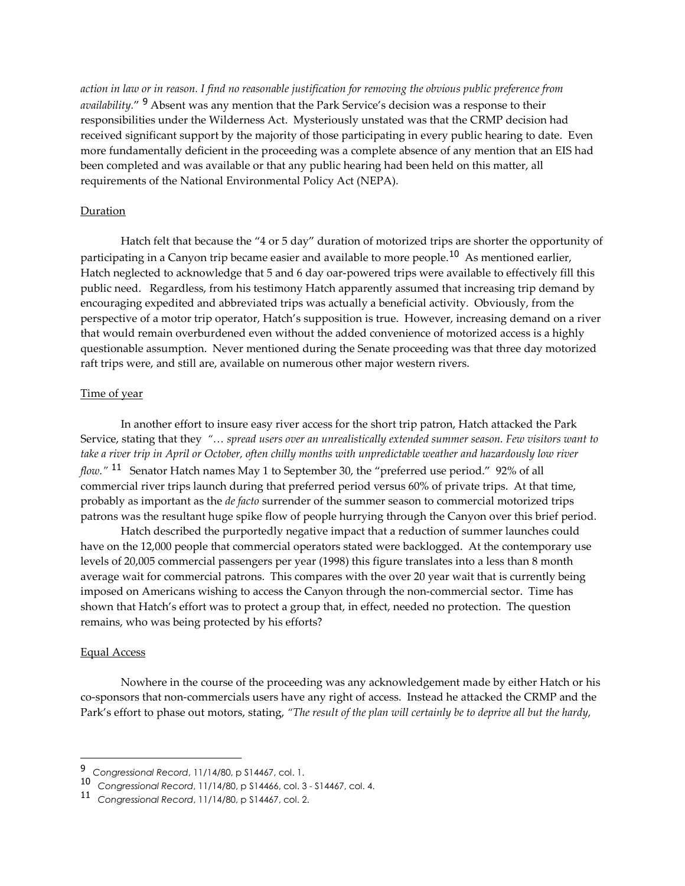*action in law or in reason. I find no reasonable justification for removing the obvious public preference from availability.*" [9](#page-2-0) Absent was any mention that the Park Service's decision was a response to their responsibilities under the Wilderness Act. Mysteriously unstated was that the CRMP decision had received significant support by the majority of those participating in every public hearing to date. Even more fundamentally deficient in the proceeding was a complete absence of any mention that an EIS had been completed and was available or that any public hearing had been held on this matter, all requirements of the National Environmental Policy Act (NEPA).

## Duration

Hatch felt that because the "4 or 5 day" duration of motorized trips are shorter the opportunity of participating in a Canyon trip became easier and available to more people.<sup>[10](#page-2-1)</sup> As mentioned earlier, Hatch neglected to acknowledge that 5 and 6 day oar-powered trips were available to effectively fill this public need. Regardless, from his testimony Hatch apparently assumed that increasing trip demand by encouraging expedited and abbreviated trips was actually a beneficial activity. Obviously, from the perspective of a motor trip operator, Hatch's supposition is true. However, increasing demand on a river that would remain overburdened even without the added convenience of motorized access is a highly questionable assumption. Never mentioned during the Senate proceeding was that three day motorized raft trips were, and still are, available on numerous other major western rivers.

# Time of year

In another effort to insure easy river access for the short trip patron, Hatch attacked the Park Service, stating that they *"… spread users over an unrealistically extended summer season. Few visitors want to take a river trip in April or October, often chilly months with unpredictable weather and hazardously low river flow."* [11](#page-2-2) Senator Hatch names May 1 to September 30, the "preferred use period." 92% of all commercial river trips launch during that preferred period versus 60% of private trips. At that time, probably as important as the *de facto* surrender of the summer season to commercial motorized trips patrons was the resultant huge spike flow of people hurrying through the Canyon over this brief period.

Hatch described the purportedly negative impact that a reduction of summer launches could have on the 12,000 people that commercial operators stated were backlogged. At the contemporary use levels of 20,005 commercial passengers per year (1998) this figure translates into a less than 8 month average wait for commercial patrons. This compares with the over 20 year wait that is currently being imposed on Americans wishing to access the Canyon through the non-commercial sector. Time has shown that Hatch's effort was to protect a group that, in effect, needed no protection. The question remains, who was being protected by his efforts?

### Equal Access

 $\overline{\phantom{a}}$ 

Nowhere in the course of the proceeding was any acknowledgement made by either Hatch or his co-sponsors that non-commercials users have any right of access. Instead he attacked the CRMP and the Park's effort to phase out motors, stating, *"The result of the plan will certainly be to deprive all but the hardy,* 

<span id="page-2-0"></span><sup>9</sup> *Congressional Record*, 11/14/80, p S14467, col. 1.

<span id="page-2-1"></span><sup>10</sup> *Congressional Record*, 11/14/80, p S14466, col. 3 - S14467, col. 4.

<span id="page-2-2"></span><sup>11</sup> *Congressional Record*, 11/14/80, p S14467, col. 2.